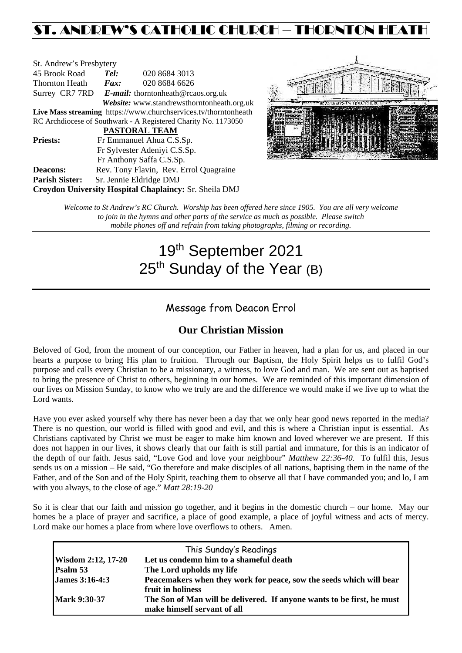# ST. ANDREW'S CATHOLIC CHURCH – THORNTON HEATH

| St. Andrew's Presbytery                                         |                                                   |               |  |  |  |
|-----------------------------------------------------------------|---------------------------------------------------|---------------|--|--|--|
| 45 Brook Road                                                   | Tel:                                              | 020 8684 3013 |  |  |  |
| Thornton Heath                                                  | Fax:                                              | 020 8684 6626 |  |  |  |
|                                                                 | Surrey CR7 7RD E-mail: thorntonheath@rcaos.org.uk |               |  |  |  |
| Website: www.standrewsthorntonheath.org.uk                      |                                                   |               |  |  |  |
| Live Mass streaming https://www.churchservices.tv/thorntonheath |                                                   |               |  |  |  |
| RC Archdiocese of Southwark - A Registered Charity No. 1173050  |                                                   |               |  |  |  |
| <b>PASTORAL TEAM</b>                                            |                                                   |               |  |  |  |
| <b>Priests:</b>                                                 | Fr Emmanuel Ahua C.S.Sp.                          |               |  |  |  |
|                                                                 | Fr Sylvester Adeniyi C.S.Sp.                      |               |  |  |  |
|                                                                 | Fr Anthony Saffa C.S.Sp.                          |               |  |  |  |
| <b>Deacons:</b>                                                 | Rev. Tony Flavin, Rev. Errol Quagraine            |               |  |  |  |
| <b>Parish Sister:</b>                                           | Sr. Jennie Eldridge DMJ                           |               |  |  |  |
| Croydon University Hospital Chaplaincy: Sr. Sheila DMJ          |                                                   |               |  |  |  |



*Welcome to St Andrew's RC Church. Worship has been offered here since 1905. You are all very welcome to join in the hymns and other parts of the service as much as possible. Please switch mobile phones off and refrain from taking photographs, filming or recording.*

# 19th September 2021 25<sup>th</sup> Sunday of the Year (B)

# Message from Deacon Errol

# **Our Christian Mission**

Beloved of God, from the moment of our conception, our Father in heaven, had a plan for us, and placed in our hearts a purpose to bring His plan to fruition. Through our Baptism, the Holy Spirit helps us to fulfil God's purpose and calls every Christian to be a missionary, a witness, to love God and man. We are sent out as baptised to bring the presence of Christ to others, beginning in our homes. We are reminded of this important dimension of our lives on Mission Sunday, to know who we truly are and the difference we would make if we live up to what the Lord wants.

Have you ever asked yourself why there has never been a day that we only hear good news reported in the media? There is no question, our world is filled with good and evil, and this is where a Christian input is essential. As Christians captivated by Christ we must be eager to make him known and loved wherever we are present. If this does not happen in our lives, it shows clearly that our faith is still partial and immature, for this is an indicator of the depth of our faith. Jesus said, "Love God and love your neighbour" *Matthew 22:36-40.* To fulfil this, Jesus sends us on a mission – He said, "Go therefore and make disciples of all nations, baptising them in the name of the Father, and of the Son and of the Holy Spirit, teaching them to observe all that I have commanded you; and lo, I am with you always, to the close of age." *Matt 28:19-20*

So it is clear that our faith and mission go together, and it begins in the domestic church – our home. May our homes be a place of prayer and sacrifice, a place of good example, a place of joyful witness and acts of mercy. Lord make our homes a place from where love overflows to others. Amen.

| This Sunday's Readings |                                                                                                       |  |  |  |
|------------------------|-------------------------------------------------------------------------------------------------------|--|--|--|
| Wisdom 2:12, 17-20     | Let us condemn him to a shameful death                                                                |  |  |  |
| Psalm 53               | The Lord upholds my life                                                                              |  |  |  |
| <b>James 3:16-4:3</b>  | Peacemakers when they work for peace, sow the seeds which will bear<br>fruit in holiness              |  |  |  |
| <b>Mark 9:30-37</b>    | The Son of Man will be delivered. If anyone wants to be first, he must<br>make himself servant of all |  |  |  |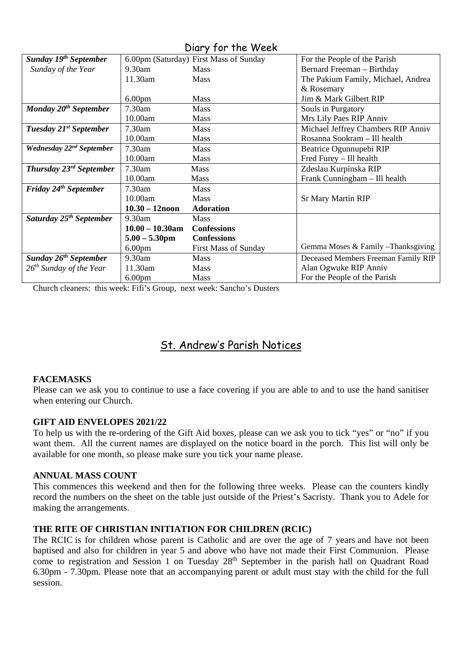|                                      |                         | UNIY JUI IIIC WEEN                     |                                     |
|--------------------------------------|-------------------------|----------------------------------------|-------------------------------------|
| Sunday 19 <sup>th</sup> September    |                         | 6.00pm (Saturday) First Mass of Sunday | For the People of the Parish        |
| Sunday of the Year                   | 9.30am                  | <b>Mass</b>                            | Bernard Freeman - Birthday          |
|                                      | 11.30am                 | <b>Mass</b>                            | The Pakium Family, Michael, Andrea  |
|                                      |                         |                                        | & Rosemary                          |
|                                      | 6.00 <sub>pm</sub>      | <b>Mass</b>                            | Jim & Mark Gilbert RIP              |
| Monday $20^{th}$ September           | 7.30am                  | <b>Mass</b>                            | Souls in Purgatory                  |
|                                      | 10.00am                 | <b>Mass</b>                            | Mrs Lily Paes RIP Anniv             |
| Tuesday 21 <sup>st</sup> September   | 7.30am                  | <b>Mass</b>                            | Michael Jeffrey Chambers RIP Anniv  |
|                                      | 10.00am                 | <b>Mass</b>                            | Rosanna Sookram - Ill health        |
| Wednesday 22 <sup>nd</sup> September | 7.30am                  | <b>Mass</b>                            | Beatrice Ogunnupebi RIP             |
|                                      | 10.00am                 | <b>Mass</b>                            | Fred Furey - Ill health             |
| Thursday 23 <sup>rd</sup> September  | 7.30am                  | Mass                                   | Zdeslau Kurpinska RIP               |
|                                      | 10.00am                 | Mass                                   | Frank Cunningham - Ill health       |
| Friday 24 <sup>th</sup> September    | 7.30am                  | <b>Mass</b>                            |                                     |
|                                      | 10.00am                 | <b>Mass</b>                            | <b>Sr Mary Martin RIP</b>           |
|                                      | $10.30 - 12$ noon       | <b>Adoration</b>                       |                                     |
| Saturday 25 <sup>th</sup> September  | 9.30am                  | Mass                                   |                                     |
|                                      | $10.00 - 10.30$ am      | <b>Confessions</b>                     |                                     |
|                                      | $5.00 - 5.30 \text{pm}$ | <b>Confessions</b>                     |                                     |
|                                      | 6.00 <sub>pm</sub>      | <b>First Mass of Sunday</b>            | Gemma Moses & Family - Thanksgiving |
| Sunday 26 <sup>th</sup> September    | 9.30am                  | <b>Mass</b>                            | Deceased Members Freeman Family RIP |
| $26^{th}$ Sunday of the Year         | 11.30am                 | <b>Mass</b>                            | Alan Ogwuke RIP Anniv               |
|                                      | 6.00 <sub>pm</sub>      | <b>Mass</b>                            | For the People of the Parish        |

Church cleaners: this week: Fifi's Group, next week: Sancho's Dusters

# St. Andrew's Parish Notices

# **FACEMASKS**

Please can we ask you to continue to use a face covering if you are able to and to use the hand sanitiser when entering our Church.

# **GIFT AID ENVELOPES 2021/22**

To help us with the re-ordering of the Gift Aid boxes, please can we ask you to tick "yes" or "no" if you want them. All the current names are displayed on the notice board in the porch. This list will only be available for one month, so please make sure you tick your name please.

# **ANNUAL MASS COUNT**

This commences this weekend and then for the following three weeks. Please can the counters kindly record the numbers on the sheet on the table just outside of the Priest's Sacristy. Thank you to Adele for making the arrangements.

# **THE RITE OF CHRISTIAN INITIATION FOR CHILDREN (RCIC)**

The RCIC is for children whose parent is Catholic and are over the age of 7 years and have not been baptised and also for children in year 5 and above who have not made their First Communion. Please come to registration and Session 1 on Tuesday  $28<sup>th</sup>$  September in the parish hall on Quadrant Road 6.30pm - 7.30pm. Please note that an accompanying parent or adult must stay with the child for the full session.

# Diary for the Week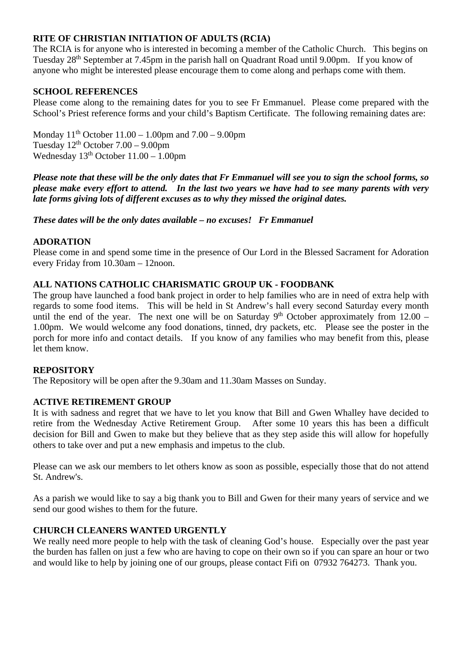# **RITE OF CHRISTIAN INITIATION OF ADULTS (RCIA)**

The RCIA is for anyone who is interested in becoming a member of the Catholic Church. This begins on Tuesday 28th September at 7.45pm in the parish hall on Quadrant Road until 9.00pm. If you know of anyone who might be interested please encourage them to come along and perhaps come with them.

# **SCHOOL REFERENCES**

Please come along to the remaining dates for you to see Fr Emmanuel. Please come prepared with the School's Priest reference forms and your child's Baptism Certificate. The following remaining dates are:

Monday  $11^{th}$  October  $11.00 - 1.00$  pm and  $7.00 - 9.00$  pm Tuesday  $12^{th}$  October  $7.00 - 9.00$ pm Wednesday  $13<sup>th</sup>$  October  $11.00 - 1.00$ pm

*Please note that these will be the only dates that Fr Emmanuel will see you to sign the school forms, so please make every effort to attend. In the last two years we have had to see many parents with very late forms giving lots of different excuses as to why they missed the original dates.* 

*These dates will be the only dates available – no excuses! Fr Emmanuel*

## **ADORATION**

Please come in and spend some time in the presence of Our Lord in the Blessed Sacrament for Adoration every Friday from 10.30am – 12noon.

## **ALL NATIONS CATHOLIC CHARISMATIC GROUP UK - FOODBANK**

The group have launched a food bank project in order to help families who are in need of extra help with regards to some food items. This will be held in St Andrew's hall every second Saturday every month until the end of the year. The next one will be on Saturday  $9<sup>th</sup>$  October approximately from 12.00 – 1.00pm. We would welcome any food donations, tinned, dry packets, etc. Please see the poster in the porch for more info and contact details. If you know of any families who may benefit from this, please let them know.

### **REPOSITORY**

The Repository will be open after the 9.30am and 11.30am Masses on Sunday.

### **ACTIVE RETIREMENT GROUP**

It is with sadness and regret that we have to let you know that Bill and Gwen Whalley have decided to retire from the Wednesday Active Retirement Group. After some 10 years this has been a difficult decision for Bill and Gwen to make but they believe that as they step aside this will allow for hopefully others to take over and put a new emphasis and impetus to the club.

Please can we ask our members to let others know as soon as possible, especially those that do not attend St. Andrew's.

As a parish we would like to say a big thank you to Bill and Gwen for their many years of service and we send our good wishes to them for the future.

## **CHURCH CLEANERS WANTED URGENTLY**

We really need more people to help with the task of cleaning God's house. Especially over the past year the burden has fallen on just a few who are having to cope on their own so if you can spare an hour or two and would like to help by joining one of our groups, please contact Fifi on 07932 764273. Thank you.